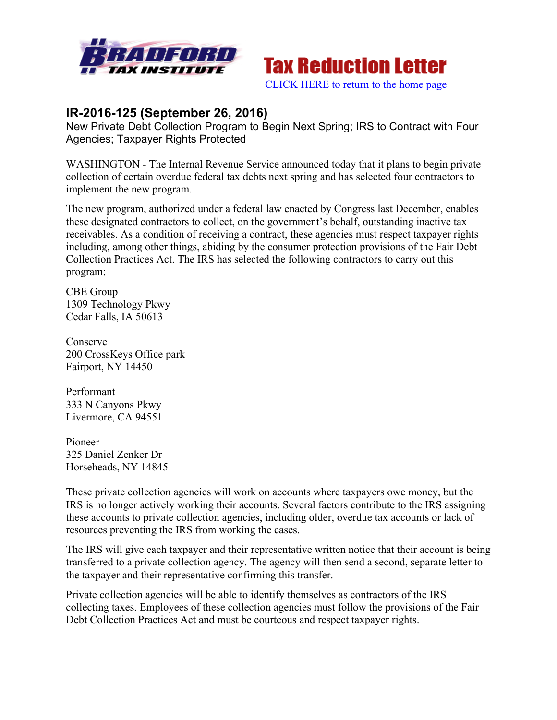



## **IR-2016-125 (September 26, 2016)**

New Private Debt Collection Program to Begin Next Spring; IRS to Contract with Four Agencies; Taxpayer Rights Protected

WASHINGTON - The Internal Revenue Service announced today that it plans to begin private collection of certain overdue federal tax debts next spring and has selected four contractors to implement the new program.

The new program, authorized under a federal law enacted by Congress last December, enables these designated contractors to collect, on the government's behalf, outstanding inactive tax receivables. As a condition of receiving a contract, these agencies must respect taxpayer rights including, among other things, abiding by the consumer protection provisions of the Fair Debt Collection Practices Act. The IRS has selected the following contractors to carry out this program:

CBE Group 1309 Technology Pkwy Cedar Falls, IA 50613

Conserve 200 CrossKeys Office park Fairport, NY 14450

Performant 333 N Canyons Pkwy Livermore, CA 94551

Pioneer 325 Daniel Zenker Dr Horseheads, NY 14845

These private collection agencies will work on accounts where taxpayers owe money, but the IRS is no longer actively working their accounts. Several factors contribute to the IRS assigning these accounts to private collection agencies, including older, overdue tax accounts or lack of resources preventing the IRS from working the cases.

The IRS will give each taxpayer and their representative written notice that their account is being transferred to a private collection agency. The agency will then send a second, separate letter to the taxpayer and their representative confirming this transfer.

Private collection agencies will be able to identify themselves as contractors of the IRS collecting taxes. Employees of these collection agencies must follow the provisions of the Fair Debt Collection Practices Act and must be courteous and respect taxpayer rights.